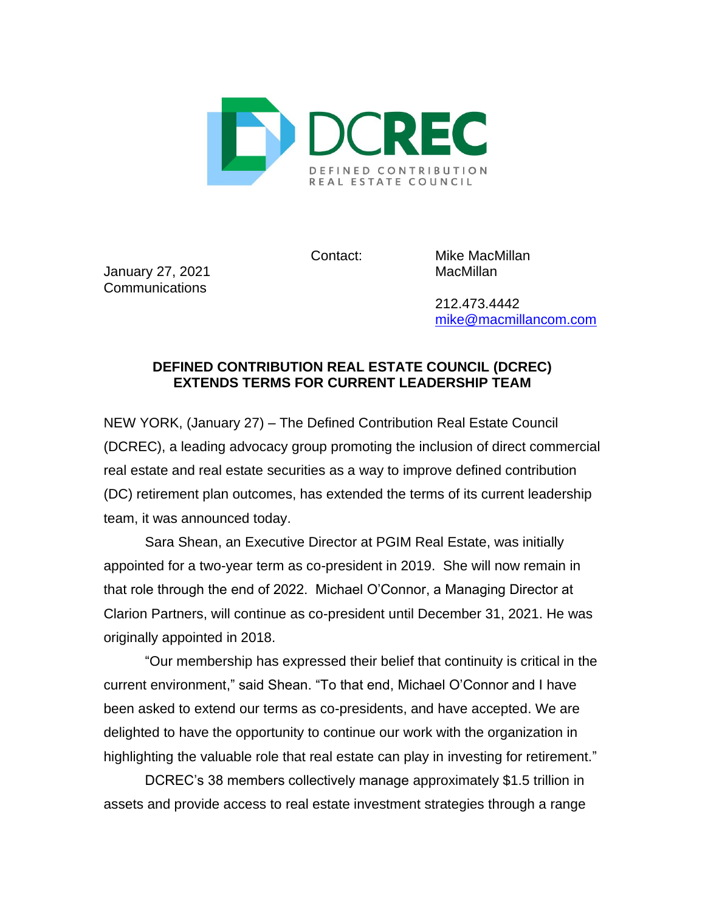

Contact: Mike MacMillan

January 27, 2021 **MacMillan** Communications

212.473.4442 [mike@macmillancom.com](mailto:mike@macmillancom.com)

## **DEFINED CONTRIBUTION REAL ESTATE COUNCIL (DCREC) EXTENDS TERMS FOR CURRENT LEADERSHIP TEAM**

NEW YORK, (January 27) – The Defined Contribution Real Estate Council (DCREC), a leading advocacy group promoting the inclusion of direct commercial real estate and real estate securities as a way to improve defined contribution (DC) retirement plan outcomes, has extended the terms of its current leadership team, it was announced today.

Sara Shean, an Executive Director at PGIM Real Estate, was initially appointed for a two-year term as co-president in 2019. She will now remain in that role through the end of 2022. Michael O'Connor, a Managing Director at Clarion Partners, will continue as co-president until December 31, 2021. He was originally appointed in 2018.

"Our membership has expressed their belief that continuity is critical in the current environment," said Shean. "To that end, Michael O'Connor and I have been asked to extend our terms as co-presidents, and have accepted. We are delighted to have the opportunity to continue our work with the organization in highlighting the valuable role that real estate can play in investing for retirement."

DCREC's 38 members collectively manage approximately \$1.5 trillion in assets and provide access to real estate investment strategies through a range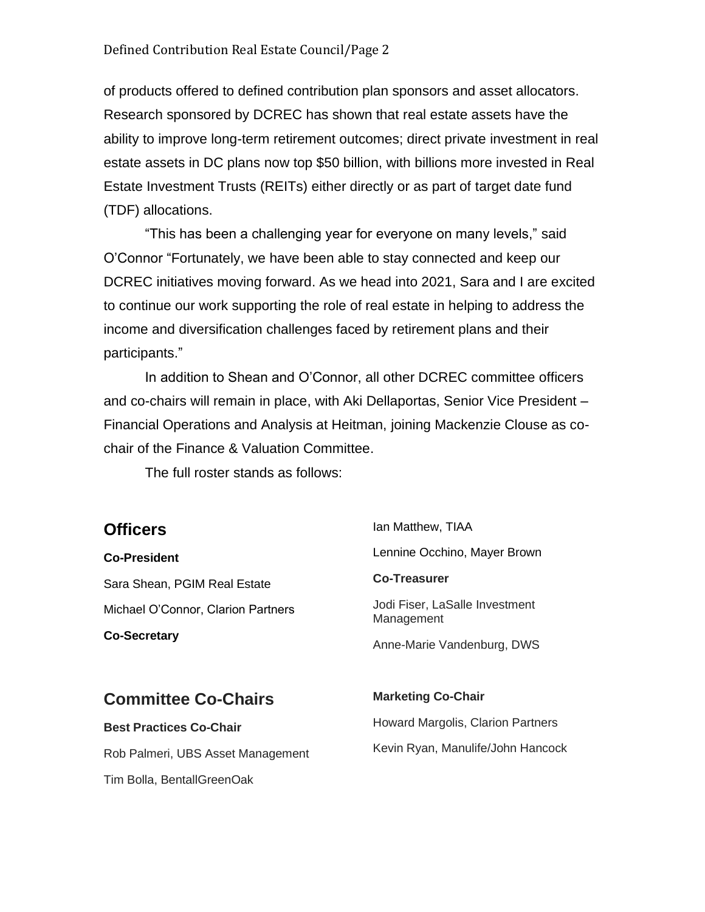of products offered to defined contribution plan sponsors and asset allocators. Research sponsored by DCREC has shown that real estate assets have the ability to improve long-term retirement outcomes; direct private investment in real estate assets in DC plans now top \$50 billion, with billions more invested in Real Estate Investment Trusts (REITs) either directly or as part of target date fund (TDF) allocations.

"This has been a challenging year for everyone on many levels," said O'Connor "Fortunately, we have been able to stay connected and keep our DCREC initiatives moving forward. As we head into 2021, Sara and I are excited to continue our work supporting the role of real estate in helping to address the income and diversification challenges faced by retirement plans and their participants."

In addition to Shean and O'Connor, all other DCREC committee officers and co-chairs will remain in place, with Aki Dellaportas, Senior Vice President – Financial Operations and Analysis at Heitman, joining Mackenzie Clouse as cochair of the Finance & Valuation Committee.

The full roster stands as follows:

## **Officers**

**Co-President** Sara Shean, PGIM Real Estate Michael O'Connor, Clarion Partners **Co-Secretary**

Ian Matthew, TIAA Lennine Occhino, Mayer Brown **Co-Treasurer** Jodi Fiser, LaSalle Investment Management Anne-Marie Vandenburg, DWS

## **Committee Co-Chairs**

**Best Practices Co-Chair** Rob Palmeri, UBS Asset Management Tim Bolla, BentallGreenOak

Howard Margolis, Clarion Partners Kevin Ryan, Manulife/John Hancock

**Marketing Co-Chair**